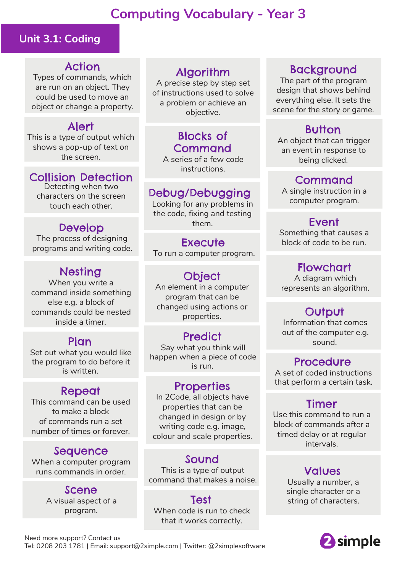# **Computing Vocabulary - Year 3**

## **Unit 3.1: Coding**

## Action

Types of commands, which are run on an object. They could be used to move an object or change a property.

## Alert

This is a type of output which shows a pop-up of text on the screen.

## Collision Detection

Detecting when two characters on the screen touch each other.

## Develop

The process of designing programs and writing code.

# Nesting

When you write a command inside something else e.g. a block of commands could be nested inside a timer.

Set out what you would like the program to do before it is written.

## Repeat

This command can be used to make a block of commands run a set number of times or forever.

## Sequence

When a computer program runs commands in order.

> Scene A visual aspect of a program.

# Algorithm

A precise step by step set of instructions used to solve a problem or achieve an objective.

# Blocks of Command

A series of a few code instructions.

## Debug/Debugging

Looking for any problems in the code, fixing and testing them.

### **Execute**

To run a computer program.

## **Object**

An element in a computer program that can be changed using actions or properties.

## **Predict**

Plan sound.<br>Say what you think will sound. happen when a piece of code is run. **Procedure** 

## **Properties**

In 2Code, all objects have properties that can be changed in design or by writing code e.g. image, colour and scale properties.

## Sound

This is a type of output command that makes a noise.

#### **Test** When code is run to check that it works correctly.

# Background

The part of the program design that shows behind everything else. It sets the scene for the story or game.

# Button

An object that can trigger an event in response to being clicked.

#### Command

A single instruction in a computer program.

# Event

Something that causes a block of code to be run.

## Flowchart

A diagram which represents an algorithm.

# **Output**

Information that comes out of the computer e.g.

A set of coded instructions that perform a certain task.

# Timer

Use this command to run a block of commands after a timed delay or at regular intervals.

# Values

Usually a number, a single character or a string of characters.



Need more support? Contact us Tel: 0208 203 1781 | Email: support@2simple.com | Twitter: @2simplesoftware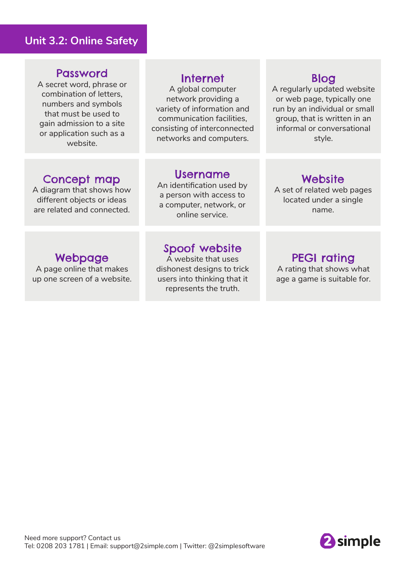### **Unit 3.2: Online Safety**

#### Password

A secret word, phrase or combination of letters, numbers and symbols that must be used to gain admission to a site or application such as a website.

### Internet

A global computer network providing a variety of information and communication facilities, consisting of interconnected networks and computers.

## Blog

A regularly updated website or web page, typically one run by an individual or small group, that is written in an informal or conversational style.

## Concept map

A diagram that shows how different objects or ideas are related and connected.

#### Username

An identification used by a person with access to a computer, network, or online service.

#### **Website**

A set of related web pages located under a single name.

# Webpage

A page online that makes up one screen of a website.

## Spoof website

A website that uses dishonest designs to trick users into thinking that it represents the truth.

## PEGI rating

A rating that shows what age a game is suitable for.

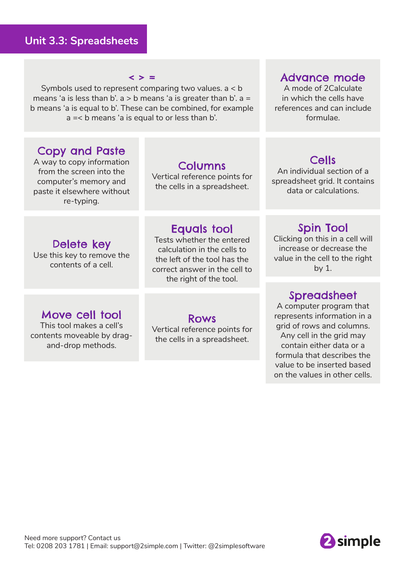#### $\langle \rangle$  =

Symbols used to represent comparing two values. a < b means 'a is less than b'.  $a > b$  means 'a is greater than b'.  $a =$ b means 'a is equal to b'. These can be combined, for example a =< b means 'a is equal to or less than b'.

## Copy and Paste

A way to copy information from the screen into the computer's memory and paste it elsewhere without re-typing.

#### Columns

Vertical reference points for the cells in a spreadsheet.

## Delete key

Use this key to remove the contents of a cell.

#### Equals tool

Tests whether the entered calculation in the cells to the left of the tool has the correct answer in the cell to the right of the tool.

## Move cell tool

This tool makes a cell's contents moveable by dragand-drop methods.

#### Rows

Vertical reference points for the cells in a spreadsheet.

#### Advance mode

A mode of 2Calculate in which the cells have references and can include formulae.

## Cells

An individual section of a spreadsheet grid. It contains data or calculations.

#### Spin Tool

Clicking on this in a cell will increase or decrease the value in the cell to the right by 1.

#### **Spreadsheet**

A computer program that represents information in a grid of rows and columns. Any cell in the grid may contain either data or a formula that describes the value to be inserted based on the values in other cells.

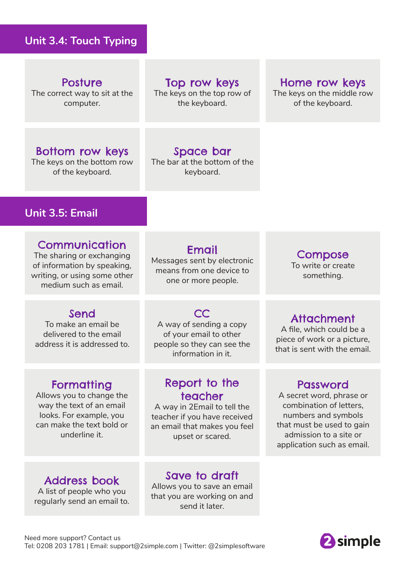## **Unit 3.4: Touch Typing**

Posture The correct way to sit at the computer.

Top row keys

The keys on the top row of the keyboard.

#### Home row keys

The keys on the middle row of the keyboard.

## Bottom row keys

The keys on the bottom row of the keyboard.

## Space bar

The bar at the bottom of the keyboard.

## **Unit 3.5: Email**

#### **Communication**

The sharing or exchanging of information by speaking, writing, or using some other medium such as email.

## Send

To make an email be delivered to the email address it is addressed to.

## **Formatting**

Allows you to change the way the text of an email looks. For example, you can make the text bold or underline it.

Email Messages sent by electronic means from one device to one or more people.

**CC** A way of sending a copy of your email to other people so they can see the information in it.

## Report to the teacher

A way in 2Email to tell the teacher if you have received an email that makes you feel upset or scared.

Compose

To write or create something.

## Attachment

A file, which could be a piece of work or a picture, that is sent with the email.

## Password

A secret word, phrase or combination of letters, numbers and symbols that must be used to gain admission to a site or application such as email.

## Address book

A list of people who you regularly send an email to.

# Save to draft

Allows you to save an email that you are working on and send it later.

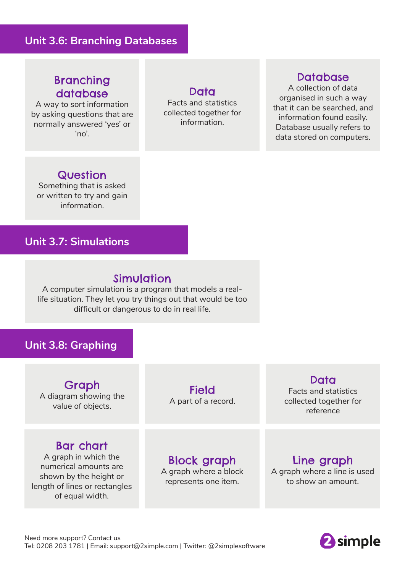#### **Unit 3.6: Branching Databases**

## Branching database

A way to sort information by asking questions that are normally answered 'yes' or 'no'.

Data

Facts and statistics collected together for information.

#### **Database**

A collection of data organised in such a way that it can be searched, and information found easily. Database usually refers to data stored on computers.

### **Question**

Something that is asked or written to try and gain information.

### **Unit 3.7: Simulations**

## Simulation

A computer simulation is a program that models a reallife situation. They let you try things out that would be too difficult or dangerous to do in real life.

#### **Unit 3.8: Graphing**

Graph A diagram showing the value of objects.

#### Bar chart

A graph in which the numerical amounts are shown by the height or length of lines or rectangles of equal width.

Field A part of a record.

#### Data

Facts and statistics collected together for reference

# Block graph

A graph where a block represents one item.

#### Line graph

A graph where a line is used to show an amount.